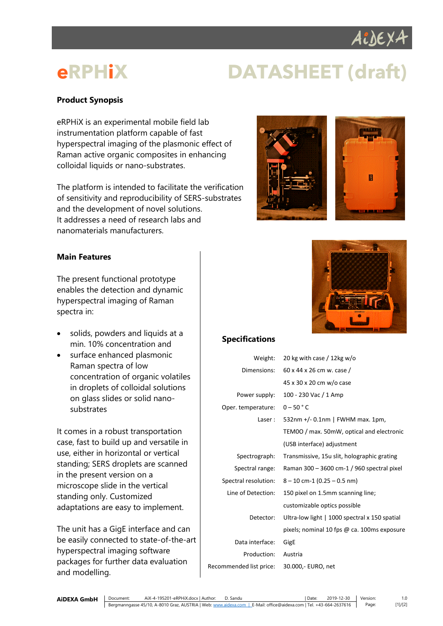

# **eRPHiX DATASHEET (draft)**

## **Product Synopsis**

eRPHiX is an experimental mobile field lab instrumentation platform capable of fast hyperspectral imaging of the plasmonic effect of Raman active organic composites in enhancing colloidal liquids or nano-substrates.

The platform is intended to facilitate the verification of sensitivity and reproducibility of SERS-substrates and the development of novel solutions. It addresses a need of research labs and nanomaterials manufacturers.



### **Main Features**

The present functional prototype enables the detection and dynamic hyperspectral imaging of Raman spectra in:

- solids, powders and liquids at a min. 10% concentration and
- surface enhanced plasmonic Raman spectra of low concentration of organic volatiles in droplets of colloidal solutions on glass slides or solid nanosubstrates

It comes in a robust transportation case, fast to build up and versatile in use, either in horizontal or vertical standing; SERS droplets are scanned in the present version on a microscope slide in the vertical standing only. Customized adaptations are easy to implement.

The unit has a GigE interface and can be easily connected to state-of-the-art hyperspectral imaging software packages for further data evaluation and modelling.



### **Specifications**

| Weight:                 | 20 kg with case / 12 kg w/o                   |
|-------------------------|-----------------------------------------------|
| Dimensions:             | 60 x 44 x 26 cm w. case /                     |
|                         | 45 x 30 x 20 cm w/o case                      |
| Power supply:           | 100 - 230 Vac / 1 Amp                         |
| Oper. temperature:      | $0 - 50$ $\degree$ C                          |
| Laser:                  | 532nm +/- $0.1$ nm   FWHM max. 1pm,           |
|                         | TEM0O / max. 50mW, optical and electronic     |
|                         | (USB interface) adjustment                    |
| Spectrograph:           | Transmissive, 15u slit, holographic grating   |
| Spectral range:         | Raman 300 $-$ 3600 cm-1 / 960 spectral pixel  |
| Spectral resolution:    | $8 - 10$ cm-1 (0.25 $-$ 0.5 nm)               |
| Line of Detection:      | 150 pixel on 1.5mm scanning line;             |
|                         | customizable optics possible                  |
| Detector:               | Ultra-low light   1000 spectral x 150 spatial |
|                         | pixels; nominal 10 fps @ ca. 100ms exposure   |
| Data interface:         | GigE                                          |
| Production:             | Austria                                       |
| Recommended list price: | 30.000, EURO, net                             |